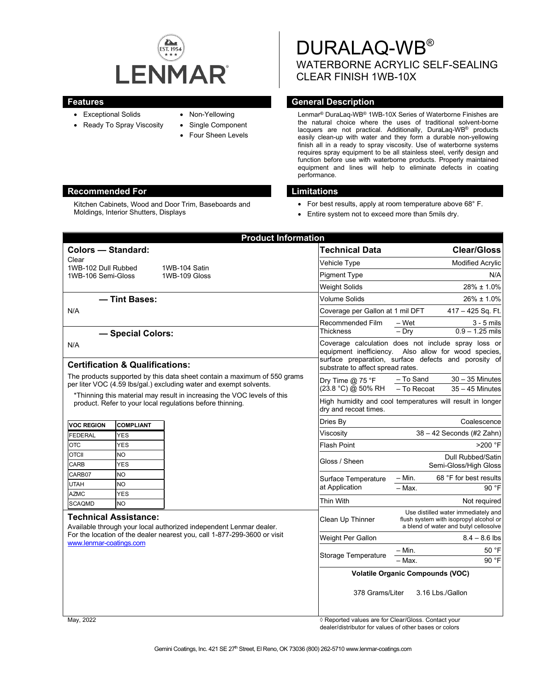

Kitchen Cabinets, Wood and Door Trim, Baseboards and

- Exceptional Solids
- Ready To Spray Viscosity

Moldings, Interior Shutters, Displays

- Non-Yellowing
- Single Component
	- Four Sheen Levels

DURALAQ-WB® WATERBORNE ACRYLIC SELF-SEALING CLEAR FINISH 1WB-10X

## **Features General Description**

Lenmar® DuraLaq-WB® 1WB-10X Series of Waterborne Finishes are the natural choice where the uses of traditional solvent-borne lacquers are not practical. Additionally, DuraLaq-WB® products easily clean-up with water and they form a durable non-yellowing finish all in a ready to spray viscosity. Use of waterborne systems requires spray equipment to be all stainless steel, verify design and function before use with waterborne products. Properly maintained equipment and lines will help to eliminate defects in coating performance.

## **Recommended For Limitations**

- For best results, apply at room temperature above 68° F.
- Entire system not to exceed more than 5mils dry.

| <b>Product Information</b>                                                                                                                                                                                |                                                                                    |                                                                                                                        |
|-----------------------------------------------------------------------------------------------------------------------------------------------------------------------------------------------------------|------------------------------------------------------------------------------------|------------------------------------------------------------------------------------------------------------------------|
| <b>Colors - Standard:</b>                                                                                                                                                                                 | <b>Technical Data</b>                                                              | <b>Clear/Gloss</b>                                                                                                     |
| Clear<br>1WB-102 Dull Rubbed<br>1WB-104 Satin                                                                                                                                                             | Vehicle Type                                                                       | <b>Modified Acrylic</b>                                                                                                |
| 1WB-106 Semi-Gloss<br>1WB-109 Gloss                                                                                                                                                                       | <b>Pigment Type</b>                                                                | N/A                                                                                                                    |
|                                                                                                                                                                                                           | <b>Weight Solids</b>                                                               | 28% ± 1.0%                                                                                                             |
| - Tint Bases:                                                                                                                                                                                             | <b>Volume Solids</b>                                                               | 26% ± 1.0%                                                                                                             |
| N/A                                                                                                                                                                                                       | Coverage per Gallon at 1 mil DFT                                                   | 417 - 425 Sq. Ft.                                                                                                      |
|                                                                                                                                                                                                           | Recommended Film                                                                   | – Wet<br>$3 - 5$ mils                                                                                                  |
| - Special Colors:                                                                                                                                                                                         | <b>Thickness</b>                                                                   | $0.9 - 1.25$ mils<br>$-$ Dry                                                                                           |
| N/A                                                                                                                                                                                                       |                                                                                    | Coverage calculation does not include spray loss or<br>equipment inefficiency. Also allow for wood species,            |
| <b>Certification &amp; Qualifications:</b>                                                                                                                                                                | substrate to affect spread rates.                                                  | surface preparation, surface defects and porosity of                                                                   |
| The products supported by this data sheet contain a maximum of 550 grams<br>per liter VOC (4.59 lbs/gal.) excluding water and exempt solvents.                                                            | Dry Time $@$ 75 °F<br>(23.8 °C) @ 50% RH                                           | $30 - 35$ Minutes<br>– To Sand<br>- To Recoat<br>$35 - 45$ Minutes                                                     |
| *Thinning this material may result in increasing the VOC levels of this<br>product. Refer to your local regulations before thinning.                                                                      | High humidity and cool temperatures will result in longer<br>dry and recoat times. |                                                                                                                        |
| <b>VOC REGION</b><br><b>COMPLIANT</b>                                                                                                                                                                     | Dries By                                                                           | Coalescence                                                                                                            |
| <b>YES</b><br><b>FEDERAL</b>                                                                                                                                                                              | Viscositv                                                                          | 38 - 42 Seconds (#2 Zahn)                                                                                              |
| <b>OTC</b><br><b>YES</b>                                                                                                                                                                                  | <b>Flash Point</b>                                                                 | >200 °F                                                                                                                |
| <b>NO</b><br><b>OTCII</b>                                                                                                                                                                                 | Gloss / Sheen                                                                      | Dull Rubbed/Satin                                                                                                      |
| <b>YES</b><br>CARB                                                                                                                                                                                        |                                                                                    | Semi-Gloss/High Gloss                                                                                                  |
| CARB07<br><b>NO</b><br><b>NO</b><br><b>UTAH</b>                                                                                                                                                           | Surface Temperature                                                                | $-$ Min.<br>68 °F for best results                                                                                     |
| <b>AZMC</b><br><b>YES</b>                                                                                                                                                                                 | at Application                                                                     | - Max.<br>90 °F                                                                                                        |
| <b>NO</b><br><b>SCAQMD</b>                                                                                                                                                                                | Thin With                                                                          | Not required                                                                                                           |
| <b>Technical Assistance:</b><br>Available through your local authorized independent Lenmar dealer.<br>For the location of the dealer nearest you, call 1-877-299-3600 or visit<br>www.lenmar-coatings.com | Clean Up Thinner                                                                   | Use distilled water immediately and<br>flush system with isopropyl alcohol or<br>a blend of water and butyl cellosolve |
|                                                                                                                                                                                                           | Weight Per Gallon                                                                  | $8.4 - 8.6$ lbs                                                                                                        |
|                                                                                                                                                                                                           |                                                                                    | 50 °F<br>$-$ Min.                                                                                                      |
|                                                                                                                                                                                                           | Storage Temperature                                                                | 90 °F<br>- Max.                                                                                                        |
|                                                                                                                                                                                                           | <b>Volatile Organic Compounds (VOC)</b>                                            |                                                                                                                        |
|                                                                                                                                                                                                           | 378 Grams/Liter                                                                    | 3.16 Lbs./Gallon                                                                                                       |
| May, 2022                                                                                                                                                                                                 | ◊ Reported values are for Clear/Gloss. Contact your                                |                                                                                                                        |

dealer/distributor for values of other bases or colors